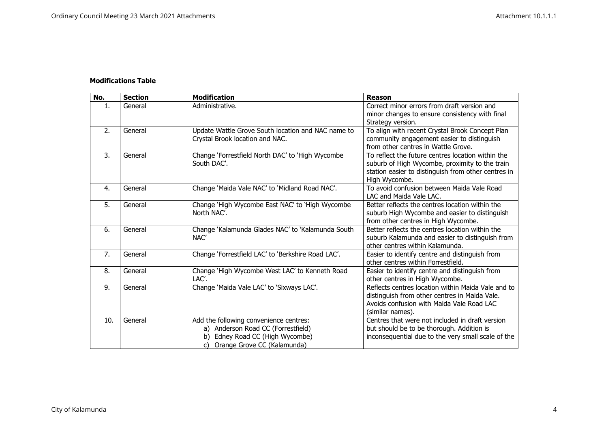## **Modifications Table**

| No. | <b>Section</b> | <b>Modification</b>                                                                                                                                     | Reason                                                                                                                                                                      |
|-----|----------------|---------------------------------------------------------------------------------------------------------------------------------------------------------|-----------------------------------------------------------------------------------------------------------------------------------------------------------------------------|
| 1.  | General        | Administrative.                                                                                                                                         | Correct minor errors from draft version and<br>minor changes to ensure consistency with final<br>Strategy version.                                                          |
| 2.  | General        | Update Wattle Grove South location and NAC name to<br>Crystal Brook location and NAC.                                                                   | To align with recent Crystal Brook Concept Plan<br>community engagement easier to distinguish<br>from other centres in Wattle Grove.                                        |
| 3.  | General        | Change 'Forrestfield North DAC' to 'High Wycombe<br>South DAC'.                                                                                         | To reflect the future centres location within the<br>suburb of High Wycombe, proximity to the train<br>station easier to distinguish from other centres in<br>High Wycombe. |
| 4.  | General        | Change 'Maida Vale NAC' to 'Midland Road NAC'.                                                                                                          | To avoid confusion between Maida Vale Road<br>LAC and Maida Vale LAC.                                                                                                       |
| 5.  | General        | Change 'High Wycombe East NAC' to 'High Wycombe<br>North NAC'.                                                                                          | Better reflects the centres location within the<br>suburb High Wycombe and easier to distinguish<br>from other centres in High Wycombe.                                     |
| 6.  | General        | Change 'Kalamunda Glades NAC' to 'Kalamunda South<br>NAC'                                                                                               | Better reflects the centres location within the<br>suburb Kalamunda and easier to distinguish from<br>other centres within Kalamunda.                                       |
| 7.  | General        | Change 'Forrestfield LAC' to 'Berkshire Road LAC'.                                                                                                      | Easier to identify centre and distinguish from<br>other centres within Forrestfield.                                                                                        |
| 8.  | General        | Change 'High Wycombe West LAC' to Kenneth Road<br>LAC'.                                                                                                 | Easier to identify centre and distinguish from<br>other centres in High Wycombe.                                                                                            |
| 9.  | General        | Change 'Maida Vale LAC' to 'Sixways LAC'.                                                                                                               | Reflects centres location within Maida Vale and to<br>distinguish from other centres in Maida Vale.<br>Avoids confusion with Maida Vale Road LAC<br>(similar names).        |
| 10. | General        | Add the following convenience centres:<br>a) Anderson Road CC (Forrestfield)<br>Edney Road CC (High Wycombe)<br>b)<br>Orange Grove CC (Kalamunda)<br>C) | Centres that were not included in draft version<br>but should be to be thorough. Addition is<br>inconsequential due to the very small scale of the                          |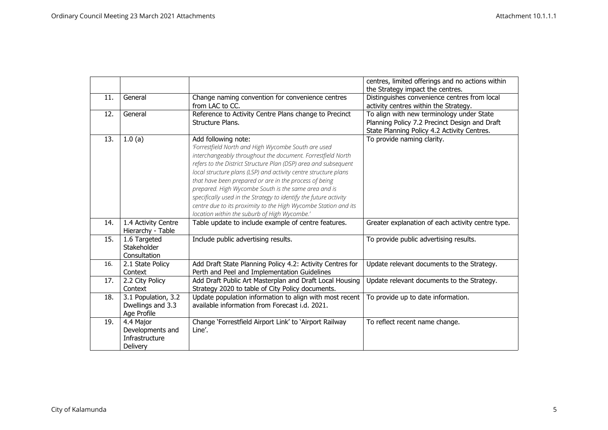|     |                     |                                                                   | centres, limited offerings and no actions within  |
|-----|---------------------|-------------------------------------------------------------------|---------------------------------------------------|
|     |                     |                                                                   | the Strategy impact the centres.                  |
| 11. | General             | Change naming convention for convenience centres                  | Distinguishes convenience centres from local      |
|     |                     | from LAC to CC.                                                   | activity centres within the Strategy.             |
| 12. | General             | Reference to Activity Centre Plans change to Precinct             | To align with new terminology under State         |
|     |                     | Structure Plans.                                                  | Planning Policy 7.2 Precinct Design and Draft     |
|     |                     |                                                                   | State Planning Policy 4.2 Activity Centres.       |
| 13. | 1.0(a)              | Add following note:                                               | To provide naming clarity.                        |
|     |                     | 'Forrestfield North and High Wycombe South are used               |                                                   |
|     |                     | interchangeably throughout the document. Forrestfield North       |                                                   |
|     |                     | refers to the District Structure Plan (DSP) area and subsequent   |                                                   |
|     |                     | local structure plans (LSP) and activity centre structure plans   |                                                   |
|     |                     | that have been prepared or are in the process of being            |                                                   |
|     |                     | prepared. High Wycombe South is the same area and is              |                                                   |
|     |                     | specifically used in the Strategy to identify the future activity |                                                   |
|     |                     | centre due to its proximity to the High Wycombe Station and its   |                                                   |
|     |                     | location within the suburb of High Wycombe.'                      |                                                   |
| 14. | 1.4 Activity Centre | Table update to include example of centre features.               | Greater explanation of each activity centre type. |
|     | Hierarchy - Table   |                                                                   |                                                   |
| 15. | 1.6 Targeted        | Include public advertising results.                               | To provide public advertising results.            |
|     | Stakeholder         |                                                                   |                                                   |
|     | Consultation        |                                                                   |                                                   |
| 16. | 2.1 State Policy    | Add Draft State Planning Policy 4.2: Activity Centres for         | Update relevant documents to the Strategy.        |
|     | Context             | Perth and Peel and Implementation Guidelines                      |                                                   |
| 17. | 2.2 City Policy     | Add Draft Public Art Masterplan and Draft Local Housing           | Update relevant documents to the Strategy.        |
|     | Context             | Strategy 2020 to table of City Policy documents.                  |                                                   |
| 18. | 3.1 Population, 3.2 | Update population information to align with most recent           | To provide up to date information.                |
|     | Dwellings and 3.3   | available information from Forecast i.d. 2021.                    |                                                   |
|     | Age Profile         |                                                                   |                                                   |
| 19. | 4.4 Major           | Change 'Forrestfield Airport Link' to 'Airport Railway            | To reflect recent name change.                    |
|     | Developments and    | Line'.                                                            |                                                   |
|     | Infrastructure      |                                                                   |                                                   |
|     | Delivery            |                                                                   |                                                   |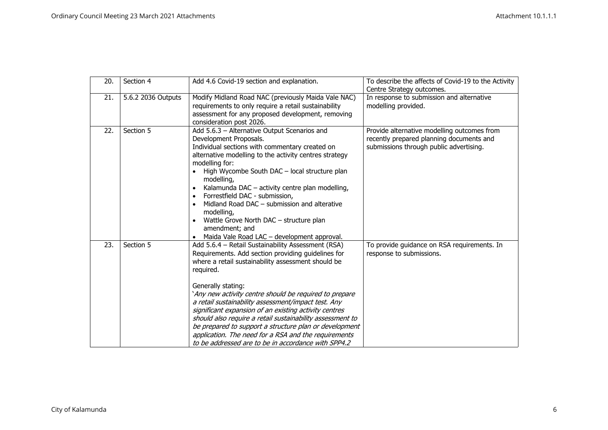| 20. | Section 4          | Add 4.6 Covid-19 section and explanation.                                                                                                                                                                                                                                                                                                                                                                                                                                                                                                                                                                         | To describe the affects of Covid-19 to the Activity<br>Centre Strategy outcomes.                                                   |
|-----|--------------------|-------------------------------------------------------------------------------------------------------------------------------------------------------------------------------------------------------------------------------------------------------------------------------------------------------------------------------------------------------------------------------------------------------------------------------------------------------------------------------------------------------------------------------------------------------------------------------------------------------------------|------------------------------------------------------------------------------------------------------------------------------------|
| 21. | 5.6.2 2036 Outputs | Modify Midland Road NAC (previously Maida Vale NAC)<br>requirements to only require a retail sustainability<br>assessment for any proposed development, removing<br>consideration post 2026.                                                                                                                                                                                                                                                                                                                                                                                                                      | In response to submission and alternative<br>modelling provided.                                                                   |
| 22. | Section 5          | Add 5.6.3 - Alternative Output Scenarios and<br>Development Proposals.<br>Individual sections with commentary created on<br>alternative modelling to the activity centres strategy<br>modelling for:<br>High Wycombe South DAC - local structure plan<br>modelling,<br>Kalamunda DAC - activity centre plan modelling,<br>Forrestfield DAC - submission,<br>Midland Road DAC - submission and alterative<br>modelling,<br>Wattle Grove North DAC - structure plan<br>amendment; and<br>Maida Vale Road LAC - development approval.                                                                                | Provide alternative modelling outcomes from<br>recently prepared planning documents and<br>submissions through public advertising. |
| 23. | Section 5          | Add 5.6.4 - Retail Sustainability Assessment (RSA)<br>Requirements. Add section providing quidelines for<br>where a retail sustainability assessment should be<br>required.<br>Generally stating:<br>`Any new activity centre should be required to prepare<br>a retail sustainability assessment/impact test. Any<br>significant expansion of an existing activity centres<br>should also require a retail sustainability assessment to<br>be prepared to support a structure plan or development<br>application. The need for a RSA and the requirements<br>to be addressed are to be in accordance with SPP4.2 | To provide guidance on RSA requirements. In<br>response to submissions.                                                            |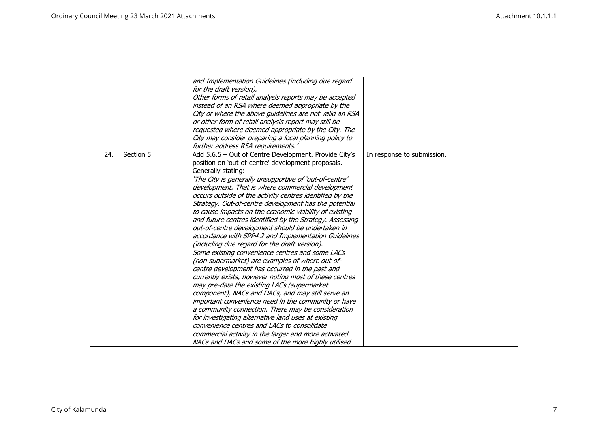|     |           | and Implementation Guidelines (including due regard      |                            |
|-----|-----------|----------------------------------------------------------|----------------------------|
|     |           | for the draft version).                                  |                            |
|     |           | Other forms of retail analysis reports may be accepted   |                            |
|     |           | instead of an RSA where deemed appropriate by the        |                            |
|     |           | City or where the above guidelines are not valid an RSA  |                            |
|     |           | or other form of retail analysis report may still be     |                            |
|     |           | requested where deemed appropriate by the City. The      |                            |
|     |           | City may consider preparing a local planning policy to   |                            |
|     |           | further address RSA requirements.'                       |                            |
| 24. | Section 5 | Add 5.6.5 - Out of Centre Development. Provide City's    | In response to submission. |
|     |           | position on 'out-of-centre' development proposals.       |                            |
|     |           | Generally stating:                                       |                            |
|     |           | 'The City is generally unsupportive of 'out-of-centre'   |                            |
|     |           | development. That is where commercial development        |                            |
|     |           | occurs outside of the activity centres identified by the |                            |
|     |           | Strategy. Out-of-centre development has the potential    |                            |
|     |           | to cause impacts on the economic viability of existing   |                            |
|     |           | and future centres identified by the Strategy. Assessing |                            |
|     |           | out-of-centre development should be undertaken in        |                            |
|     |           | accordance with SPP4.2 and Implementation Guidelines     |                            |
|     |           | (including due regard for the draft version).            |                            |
|     |           | Some existing convenience centres and some LACs          |                            |
|     |           | (non-supermarket) are examples of where out-of-          |                            |
|     |           | centre development has occurred in the past and          |                            |
|     |           | currently exists, however noting most of these centres   |                            |
|     |           | may pre-date the existing LACs (supermarket              |                            |
|     |           | component), NACs and DACs, and may still serve an        |                            |
|     |           | important convenience need in the community or have      |                            |
|     |           | a community connection. There may be consideration       |                            |
|     |           | for investigating alternative land uses at existing      |                            |
|     |           | convenience centres and LACs to consolidate              |                            |
|     |           | commercial activity in the larger and more activated     |                            |
|     |           | NACs and DACs and some of the more highly utilised       |                            |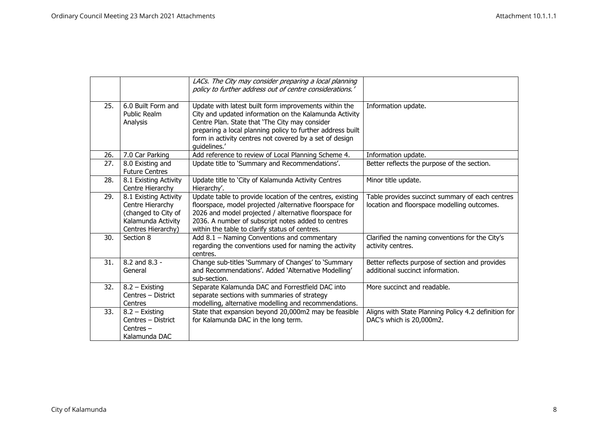|     |                                                                                                              | LACs. The City may consider preparing a local planning<br>policy to further address out of centre considerations.'                                                                                                                                                                                         |                                                                                                |
|-----|--------------------------------------------------------------------------------------------------------------|------------------------------------------------------------------------------------------------------------------------------------------------------------------------------------------------------------------------------------------------------------------------------------------------------------|------------------------------------------------------------------------------------------------|
| 25. | 6.0 Built Form and<br><b>Public Realm</b><br>Analysis                                                        | Update with latest built form improvements within the<br>City and updated information on the Kalamunda Activity<br>Centre Plan. State that 'The City may consider<br>preparing a local planning policy to further address built<br>form in activity centres not covered by a set of design<br>quidelines.' | Information update.                                                                            |
| 26. | 7.0 Car Parking                                                                                              | Add reference to review of Local Planning Scheme 4.                                                                                                                                                                                                                                                        | Information update.                                                                            |
| 27. | 8.0 Existing and<br><b>Future Centres</b>                                                                    | Update title to 'Summary and Recommendations'.                                                                                                                                                                                                                                                             | Better reflects the purpose of the section.                                                    |
| 28. | 8.1 Existing Activity<br>Centre Hierarchy                                                                    | Update title to 'City of Kalamunda Activity Centres<br>Hierarchy'.                                                                                                                                                                                                                                         | Minor title update.                                                                            |
| 29. | 8.1 Existing Activity<br>Centre Hierarchy<br>(changed to City of<br>Kalamunda Activity<br>Centres Hierarchy) | Update table to provide location of the centres, existing<br>floorspace, model projected /alternative floorspace for<br>2026 and model projected / alternative floorspace for<br>2036. A number of subscript notes added to centres<br>within the table to clarify status of centres.                      | Table provides succinct summary of each centres<br>location and floorspace modelling outcomes. |
| 30. | Section 8                                                                                                    | Add 8.1 - Naming Conventions and commentary<br>regarding the conventions used for naming the activity<br>centres.                                                                                                                                                                                          | Clarified the naming conventions for the City's<br>activity centres.                           |
| 31. | 8.2 and 8.3 -<br>General                                                                                     | Change sub-titles 'Summary of Changes' to 'Summary<br>and Recommendations'. Added 'Alternative Modelling'<br>sub-section.                                                                                                                                                                                  | Better reflects purpose of section and provides<br>additional succinct information.            |
| 32. | $8.2 -$ Existing<br>Centres - District<br>Centres                                                            | Separate Kalamunda DAC and Forrestfield DAC into<br>separate sections with summaries of strategy<br>modelling, alternative modelling and recommendations.                                                                                                                                                  | More succinct and readable.                                                                    |
| 33. | $8.2 -$ Existing<br>Centres - District<br>Centres $-$<br>Kalamunda DAC                                       | State that expansion beyond 20,000m2 may be feasible<br>for Kalamunda DAC in the long term.                                                                                                                                                                                                                | Aligns with State Planning Policy 4.2 definition for<br>DAC's which is 20,000m2.               |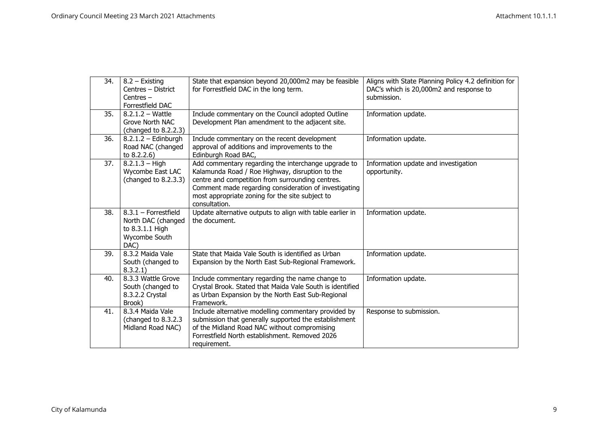| 34. | 8.2 - Existing                        | State that expansion beyond 20,000m2 may be feasible                       | Aligns with State Planning Policy 4.2 definition for |
|-----|---------------------------------------|----------------------------------------------------------------------------|------------------------------------------------------|
|     | Centres - District                    | for Forrestfield DAC in the long term.                                     | DAC's which is 20,000m2 and response to              |
|     | Centres $-$                           |                                                                            | submission.                                          |
|     | Forrestfield DAC                      |                                                                            |                                                      |
| 35. | $8.2.1.2 - \text{Wattle}$             | Include commentary on the Council adopted Outline                          | Information update.                                  |
|     | Grove North NAC                       | Development Plan amendment to the adjacent site.                           |                                                      |
|     | (changed to 8.2.2.3)                  |                                                                            |                                                      |
| 36. | $8.2.1.2 - Edinburgh$                 | Include commentary on the recent development                               | Information update.                                  |
|     | Road NAC (changed                     | approval of additions and improvements to the                              |                                                      |
|     | to $8.2.2.6$ )                        | Edinburgh Road BAC,                                                        |                                                      |
| 37. | $8.2.1.3 - High$                      | Add commentary regarding the interchange upgrade to                        | Information update and investigation                 |
|     | Wycombe East LAC                      | Kalamunda Road / Roe Highway, disruption to the                            | opportunity.                                         |
|     | (changed to 8.2.3.3)                  | centre and competition from surrounding centres.                           |                                                      |
|     |                                       | Comment made regarding consideration of investigating                      |                                                      |
|     |                                       | most appropriate zoning for the site subject to                            |                                                      |
|     |                                       | consultation.                                                              |                                                      |
| 38. | $8.3.1$ - Forrestfield                | Update alternative outputs to align with table earlier in<br>the document. | Information update.                                  |
|     | North DAC (changed<br>to 8.3.1.1 High |                                                                            |                                                      |
|     | Wycombe South                         |                                                                            |                                                      |
|     | DAC)                                  |                                                                            |                                                      |
| 39. | 8.3.2 Maida Vale                      | State that Maida Vale South is identified as Urban                         | Information update.                                  |
|     | South (changed to                     | Expansion by the North East Sub-Regional Framework.                        |                                                      |
|     | 8.3.2.1)                              |                                                                            |                                                      |
| 40. | 8.3.3 Wattle Grove                    | Include commentary regarding the name change to                            | Information update.                                  |
|     | South (changed to                     | Crystal Brook. Stated that Maida Vale South is identified                  |                                                      |
|     | 8.3.2.2 Crystal                       | as Urban Expansion by the North East Sub-Regional                          |                                                      |
|     | Brook)                                | Framework.                                                                 |                                                      |
| 41. | 8.3.4 Maida Vale                      | Include alternative modelling commentary provided by                       | Response to submission.                              |
|     | (changed to 8.3.2.3)                  | submission that generally supported the establishment                      |                                                      |
|     | Midland Road NAC)                     | of the Midland Road NAC without compromising                               |                                                      |
|     |                                       | Forrestfield North establishment. Removed 2026                             |                                                      |
|     |                                       | requirement.                                                               |                                                      |